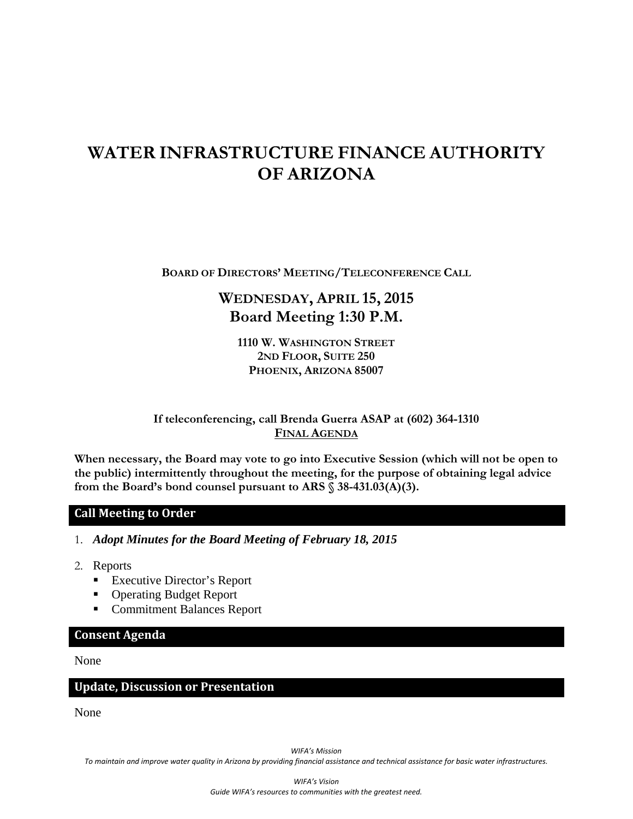# **WATER INFRASTRUCTURE FINANCE AUTHORITY OF ARIZONA**

**BOARD OF DIRECTORS' MEETING/TELECONFERENCE CALL**

## **WEDNESDAY, APRIL 15, 2015 Board Meeting 1:30 P.M.**

**1110 W. WASHINGTON STREET 2ND FLOOR, SUITE 250 PHOENIX, ARIZONA 85007** 

**If teleconferencing, call Brenda Guerra ASAP at (602) 364-1310 FINAL AGENDA**

**When necessary, the Board may vote to go into Executive Session (which will not be open to the public) intermittently throughout the meeting, for the purpose of obtaining legal advice from the Board's bond counsel pursuant to ARS § 38-431.03(A)(3).** 

#### **Call Meeting to Order**

1. *Adopt Minutes for the Board Meeting of February 18, 2015* 

- 2. Reports
	- Executive Director's Report
	- Operating Budget Report
	- **Commitment Balances Report**

#### **Consent Agenda**

#### None

#### **Update, Discussion or Presentation**

None

*WIFA's Mission*

To maintain and improve water quality in Arizona by providing financial assistance and technical assistance for basic water infrastructures.

*WIFA's Vision Guide WIFA's resources to communities with the greatest need.*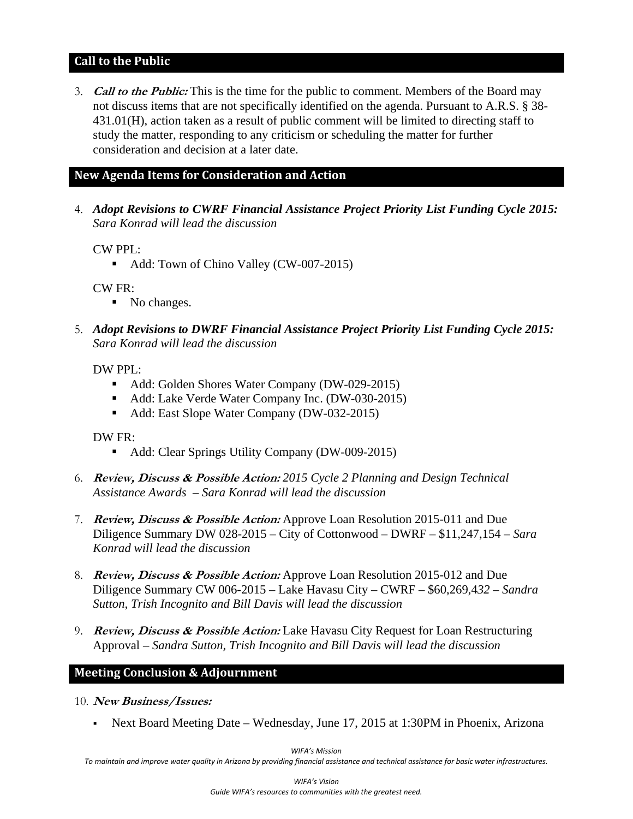#### **Call to the Public**

3. **Call to the Public:** This is the time for the public to comment. Members of the Board may not discuss items that are not specifically identified on the agenda. Pursuant to A.R.S. § 38- 431.01(H), action taken as a result of public comment will be limited to directing staff to study the matter, responding to any criticism or scheduling the matter for further consideration and decision at a later date.

#### **New Agenda Items for Consideration and Action**

4. *Adopt Revisions to CWRF Financial Assistance Project Priority List Funding Cycle 2015: Sara Konrad will lead the discussion*

CW PPL:

Add: Town of Chino Valley (CW-007-2015)

CW FR:

- No changes.
- 5. *Adopt Revisions to DWRF Financial Assistance Project Priority List Funding Cycle 2015: Sara Konrad will lead the discussion*

## DW PPL:

- Add: Golden Shores Water Company (DW-029-2015)
- Add: Lake Verde Water Company Inc. (DW-030-2015)
- Add: East Slope Water Company (DW-032-2015)

## DW FR:

- Add: Clear Springs Utility Company (DW-009-2015)
- 6. **Review, Discuss & Possible Action:** *2015 Cycle 2 Planning and Design Technical Assistance Awards – Sara Konrad will lead the discussion*
- 7. **Review, Discuss & Possible Action:** Approve Loan Resolution 2015-011 and Due Diligence Summary DW 028-2015 – City of Cottonwood – DWRF – \$11,247,154 *– Sara Konrad will lead the discussion*
- 8. **Review, Discuss & Possible Action:** Approve Loan Resolution 2015-012 and Due Diligence Summary CW 006-2015 – Lake Havasu City – CWRF – \$60,269,4*32* – *Sandra Sutton, Trish Incognito and Bill Davis will lead the discussion*
- 9. **Review, Discuss & Possible Action:** Lake Havasu City Request for Loan Restructuring Approval – *Sandra Sutton, Trish Incognito and Bill Davis will lead the discussion*

## **Meeting Conclusion & Adjournment**

- 10. **New Business/Issues:** 
	- Next Board Meeting Date Wednesday, June 17, 2015 at 1:30PM in Phoenix, Arizona

*WIFA's Mission*

To maintain and improve water quality in Arizona by providing financial assistance and technical assistance for basic water infrastructures.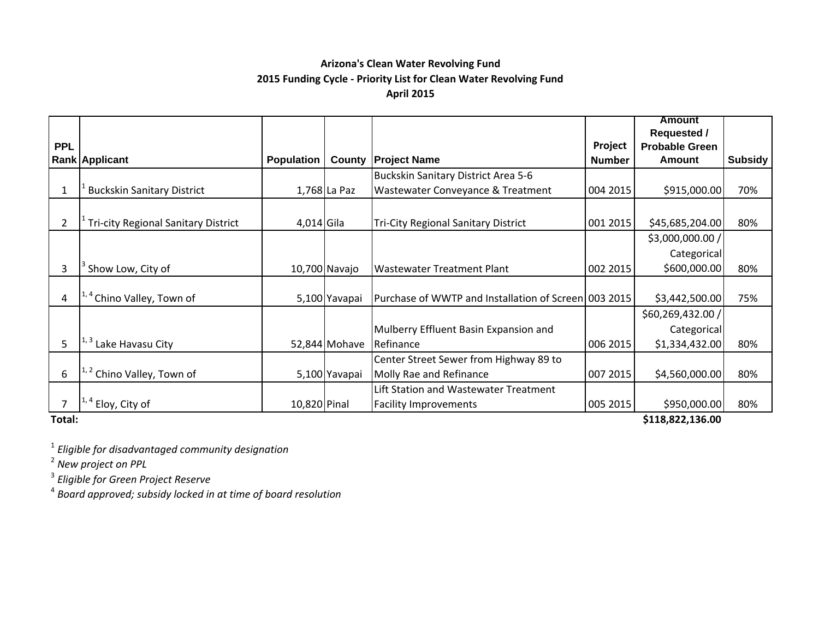## **Arizona's Clean Water Revolving Fund 2015 Funding Cycle ‐ Priority List for Clean Water Revolving Fund April 2015**

|            |                                            |                   |               |                                                      |               | <b>Amount</b>          |         |
|------------|--------------------------------------------|-------------------|---------------|------------------------------------------------------|---------------|------------------------|---------|
|            |                                            |                   |               |                                                      |               | <b>Requested /</b>     |         |
| <b>PPL</b> |                                            |                   |               |                                                      | Project       | <b>Probable Green</b>  |         |
|            | Rank Applicant                             | <b>Population</b> | County        | <b>Project Name</b>                                  | <b>Number</b> | Amount                 | Subsidy |
|            |                                            |                   |               | Buckskin Sanitary District Area 5-6                  |               |                        |         |
|            | <b>Buckskin Sanitary District</b>          |                   | 1,768 La Paz  | Wastewater Conveyance & Treatment                    | 004 2015      | \$915,000.00           | 70%     |
|            |                                            |                   |               |                                                      |               |                        |         |
| 2          | <b>Tri-city Regional Sanitary District</b> | 4,014 Gila        |               | <b>Tri-City Regional Sanitary District</b>           | 001 2015      | \$45,685,204.00        | 80%     |
|            |                                            |                   |               |                                                      |               | \$3,000,000.00 /       |         |
|            |                                            |                   |               |                                                      |               | Categorical            |         |
| 3          | Show Low, City of                          |                   | 10,700 Navajo | <b>Wastewater Treatment Plant</b>                    | 002 2015      | \$600,000.00           | 80%     |
|            |                                            |                   |               |                                                      |               |                        |         |
| 4          | Chino Valley, Town of                      |                   | 5,100 Yavapai | Purchase of WWTP and Installation of Screen 003 2015 |               | \$3,442,500.00         | 75%     |
|            |                                            |                   |               |                                                      |               | \$60,269,432.00 /      |         |
|            |                                            |                   |               | Mulberry Effluent Basin Expansion and                |               | Categorical            |         |
| 5          | Lake Havasu City                           |                   | 52,844 Mohave | Refinance                                            | 006 2015      | \$1,334,432.00         | 80%     |
|            |                                            |                   |               | Center Street Sewer from Highway 89 to               |               |                        |         |
| 6          | Chino Valley, Town of                      |                   | 5,100 Yavapai | Molly Rae and Refinance                              | 007 2015      | \$4,560,000.00         | 80%     |
|            |                                            |                   |               | Lift Station and Wastewater Treatment                |               |                        |         |
|            | Eloy, City of                              | 10,820 Pinal      |               | <b>Facility Improvements</b>                         | 005 2015      | \$950,000.00           | 80%     |
| Tatal:     |                                            |                   |               |                                                      |               | <b>C110.022.126.00</b> |         |

**Total:**

**\$118,822,136.00**

1 *Eligible for disadvantaged community designation*

2 *New project on PPL*

3 *Eligible for Green Project Reserve*

4 *Board approved; subsidy locked in at time of board resolution*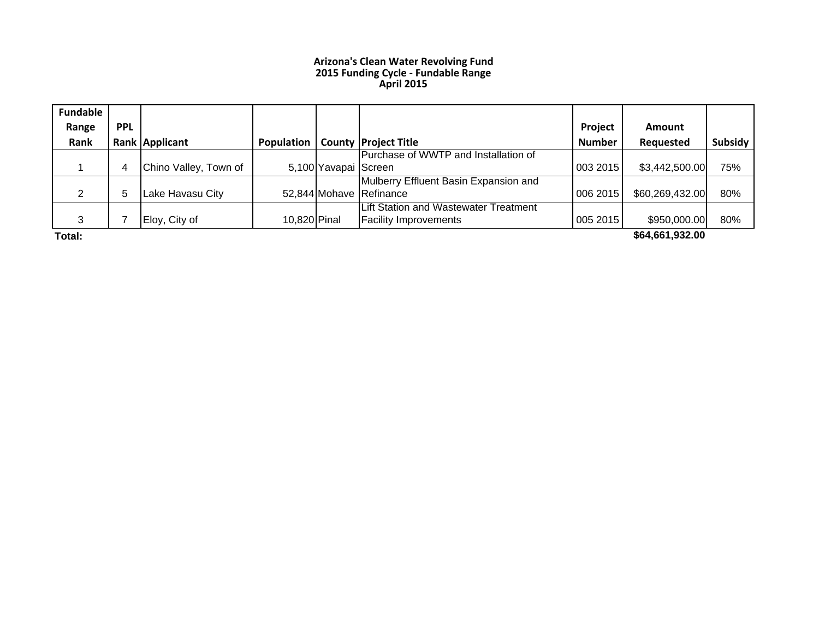#### **Arizona's Clean Water Revolving Fund 2015 Funding Cycle ‐ Fundable Range April 2015**

| <b>Fundable</b> |              |                       |                     |                      |                                       |               |                 |         |
|-----------------|--------------|-----------------------|---------------------|----------------------|---------------------------------------|---------------|-----------------|---------|
| Range           | <b>PPL</b>   |                       |                     |                      |                                       | Project       | <b>Amount</b>   |         |
| Rank            |              | Rank Applicant        | <b>Population I</b> |                      | <b>County Project Title</b>           | <b>Number</b> | Requested       | Subsidy |
|                 |              |                       |                     |                      | Purchase of WWTP and Installation of  |               |                 |         |
|                 | 4            | Chino Valley, Town of |                     | 5,100 Yavapai Screen |                                       | 003 2015      | \$3,442,500.00  | 75%     |
|                 |              |                       |                     |                      | Mulberry Effluent Basin Expansion and |               |                 |         |
| ◠               | <sub>5</sub> | Lake Havasu City      |                     |                      | 52,844 Mohave Refinance               | 006 2015      | \$60,269,432.00 | 80%     |
|                 |              |                       |                     |                      | Lift Station and Wastewater Treatment |               |                 |         |
| 3               |              | Eloy, City of         | 10,820 Pinal        |                      | <b>Facility Improvements</b>          | 005 2015      | \$950,000.00    | 80%     |
| .               |              |                       |                     |                      |                                       |               | $$              |         |

**Total:**

**\$64,661,932.00**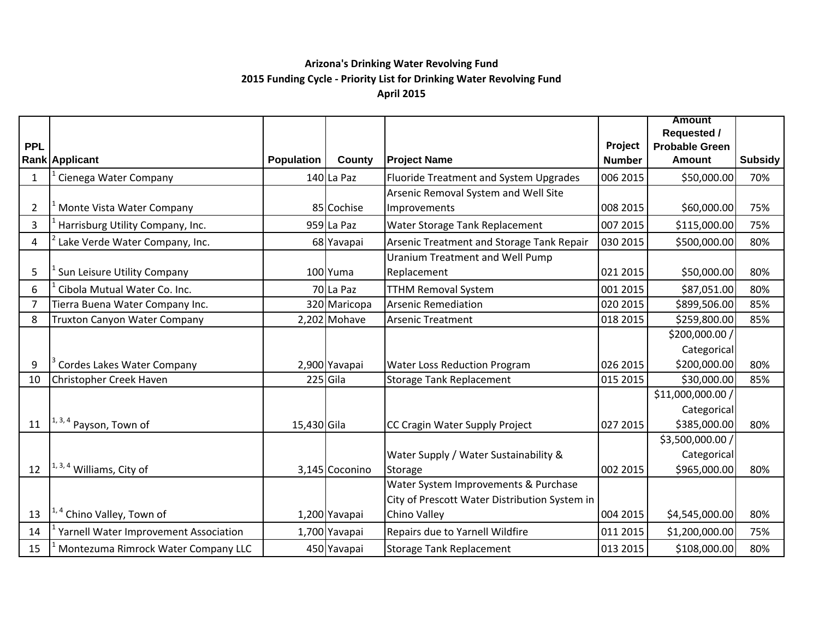#### **Arizona's Drinking Water Revolving Fund 2015 Funding Cycle ‐ Priority List for Drinking Water Revolving Fund April 2015**

|                |                                       |                   |                |                                               |               | <b>Amount</b>         |                |
|----------------|---------------------------------------|-------------------|----------------|-----------------------------------------------|---------------|-----------------------|----------------|
|                |                                       |                   |                |                                               |               | <b>Requested /</b>    |                |
| <b>PPL</b>     |                                       |                   |                |                                               | Project       | <b>Probable Green</b> |                |
|                | Rank Applicant                        | <b>Population</b> | County         | <b>Project Name</b>                           | <b>Number</b> | <b>Amount</b>         | <b>Subsidy</b> |
| $\mathbf{1}$   | Cienega Water Company                 |                   | 140 La Paz     | Fluoride Treatment and System Upgrades        | 006 2015      | \$50,000.00           | 70%            |
|                |                                       |                   |                | Arsenic Removal System and Well Site          |               |                       |                |
| $\overline{2}$ | Monte Vista Water Company             |                   | 85 Cochise     | Improvements                                  | 008 2015      | \$60,000.00           | 75%            |
| 3              | Harrisburg Utility Company, Inc.      |                   | 959 La Paz     | Water Storage Tank Replacement                | 007 2015      | \$115,000.00          | 75%            |
| 4              | Lake Verde Water Company, Inc.        |                   | 68 Yavapai     | Arsenic Treatment and Storage Tank Repair     | 030 2015      | \$500,000.00          | 80%            |
|                |                                       |                   |                | Uranium Treatment and Well Pump               |               |                       |                |
| 5              | Sun Leisure Utility Company           |                   | 100 Yuma       | Replacement                                   | 021 2015      | \$50,000.00           | 80%            |
| 6              | Cibola Mutual Water Co. Inc.          |                   | 70 La Paz      | <b>TTHM Removal System</b>                    | 001 2015      | \$87,051.00           | 80%            |
| $\overline{7}$ | Tierra Buena Water Company Inc.       |                   | 320 Maricopa   | <b>Arsenic Remediation</b>                    | 020 2015      | \$899,506.00          | 85%            |
| 8              | Truxton Canyon Water Company          |                   | 2,202 Mohave   | <b>Arsenic Treatment</b>                      | 018 2015      | \$259,800.00          | 85%            |
|                |                                       |                   |                |                                               |               | \$200,000.00 /        |                |
|                |                                       |                   |                |                                               |               | Categorical           |                |
| 9              | Cordes Lakes Water Company            |                   | 2,900 Yavapai  | Water Loss Reduction Program                  | 026 2015      | \$200,000.00          | 80%            |
| 10             | Christopher Creek Haven               |                   | 225 Gila       | <b>Storage Tank Replacement</b>               | 015 2015      | \$30,000.00           | 85%            |
|                |                                       |                   |                |                                               |               | \$11,000,000.00 /     |                |
|                |                                       |                   |                |                                               |               | Categorical           |                |
| 11             | $1, 3, 4$ Payson, Town of             | 15,430 Gila       |                | CC Cragin Water Supply Project                | 027 2015      | \$385,000.00          | 80%            |
|                |                                       |                   |                |                                               |               | \$3,500,000.00 /      |                |
|                |                                       |                   |                | Water Supply / Water Sustainability &         |               | Categorical           |                |
| 12             | <sup>1, 3, 4</sup> Williams, City of  |                   | 3,145 Coconino | Storage                                       | 002 2015      | \$965,000.00          | 80%            |
|                |                                       |                   |                | Water System Improvements & Purchase          |               |                       |                |
|                |                                       |                   |                | City of Prescott Water Distribution System in |               |                       |                |
| 13             | <sup>1,4</sup> Chino Valley, Town of  |                   | 1,200 Yavapai  | Chino Valley                                  | 004 2015      | \$4,545,000.00        | 80%            |
| 14             | Yarnell Water Improvement Association |                   | 1,700 Yavapai  | Repairs due to Yarnell Wildfire               | 011 2015      | \$1,200,000.00        | 75%            |
| 15             | Montezuma Rimrock Water Company LLC   |                   | 450 Yavapai    | <b>Storage Tank Replacement</b>               | 013 2015      | \$108,000.00          | 80%            |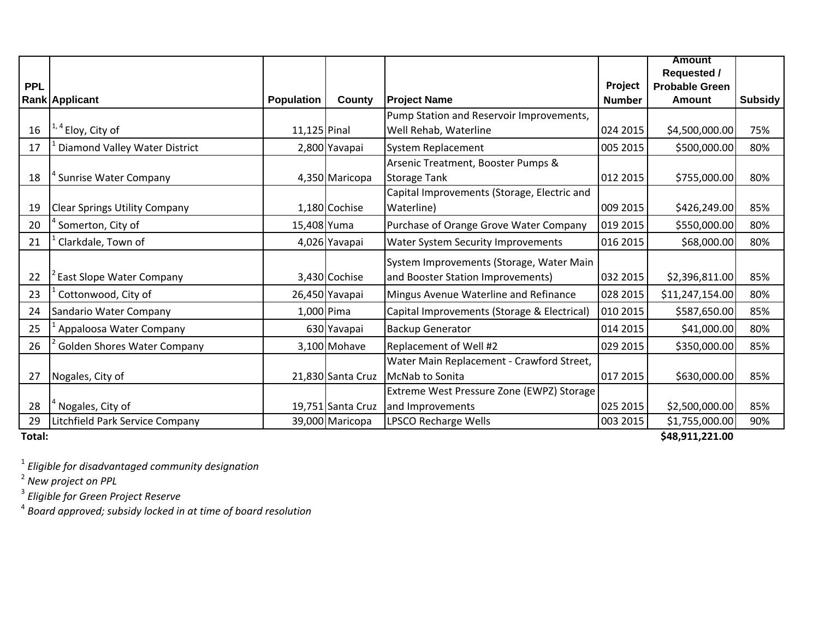|            |                                      |                   |                   |                                             |               | <b>Amount</b>         |         |
|------------|--------------------------------------|-------------------|-------------------|---------------------------------------------|---------------|-----------------------|---------|
|            |                                      |                   |                   |                                             |               | <b>Requested /</b>    |         |
| <b>PPL</b> |                                      |                   |                   |                                             | Project       | <b>Probable Green</b> |         |
|            | Rank Applicant                       | <b>Population</b> | County            | <b>Project Name</b>                         | <b>Number</b> | <b>Amount</b>         | Subsidy |
|            |                                      |                   |                   | Pump Station and Reservoir Improvements,    |               |                       |         |
| 16         | <sup>1, 4</sup> Eloy, City of        | $11,125$ Pinal    |                   | Well Rehab, Waterline                       | 024 2015      | \$4,500,000.00        | 75%     |
| 17         | Diamond Valley Water District        |                   | 2,800 Yavapai     | System Replacement                          | 005 2015      | \$500,000.00          | 80%     |
|            |                                      |                   |                   | Arsenic Treatment, Booster Pumps &          |               |                       |         |
| 18         | <sup>*</sup> Sunrise Water Company   |                   | 4,350 Maricopa    | <b>Storage Tank</b>                         | 012 2015      | \$755,000.00          | 80%     |
|            |                                      |                   |                   | Capital Improvements (Storage, Electric and |               |                       |         |
| 19         | <b>Clear Springs Utility Company</b> |                   | 1,180 Cochise     | Waterline)                                  | 009 2015      | \$426,249.00          | 85%     |
| 20         | Somerton, City of                    | 15,408 Yuma       |                   | Purchase of Orange Grove Water Company      | 019 2015      | \$550,000.00          | 80%     |
| 21         | Clarkdale, Town of                   |                   | 4,026 Yavapai     | Water System Security Improvements          | 016 2015      | \$68,000.00           | 80%     |
|            |                                      |                   |                   | System Improvements (Storage, Water Main    |               |                       |         |
| 22         | East Slope Water Company             |                   | 3,430 Cochise     | and Booster Station Improvements)           | 032 2015      | \$2,396,811.00        | 85%     |
| 23         | Cottonwood, City of                  |                   | 26,450 Yavapai    | Mingus Avenue Waterline and Refinance       | 028 2015      | \$11,247,154.00       | 80%     |
| 24         | Sandario Water Company               |                   | 1,000 Pima        | Capital Improvements (Storage & Electrical) | 010 2015      | \$587,650.00          | 85%     |
| 25         | Appaloosa Water Company              |                   | 630 Yavapai       | <b>Backup Generator</b>                     | 014 2015      | \$41,000.00           | 80%     |
| 26         | <b>Golden Shores Water Company</b>   |                   | 3,100 Mohave      | Replacement of Well #2                      | 029 2015      | \$350,000.00          | 85%     |
|            |                                      |                   |                   | Water Main Replacement - Crawford Street,   |               |                       |         |
| 27         | Nogales, City of                     |                   | 21,830 Santa Cruz | McNab to Sonita                             | 017 2015      | \$630,000.00          | 85%     |
|            |                                      |                   |                   | Extreme West Pressure Zone (EWPZ) Storage   |               |                       |         |
| 28         | <sup>*</sup> Nogales, City of        |                   | 19,751 Santa Cruz | and Improvements                            | 025 2015      | \$2,500,000.00        | 85%     |
| 29         | Litchfield Park Service Company      |                   | 39,000 Maricopa   | LPSCO Recharge Wells                        | 003 2015      | \$1,755,000.00        | 90%     |

**Total:**

**\$48,911,221.00**

1 *Eligible for disadvantaged community designation*

<sup>2</sup> New project on PPL<br><sup>3</sup> Eligible for Green Project Reserve<br><sup>4</sup> Board approved; subsidy locked in at time of board resolution